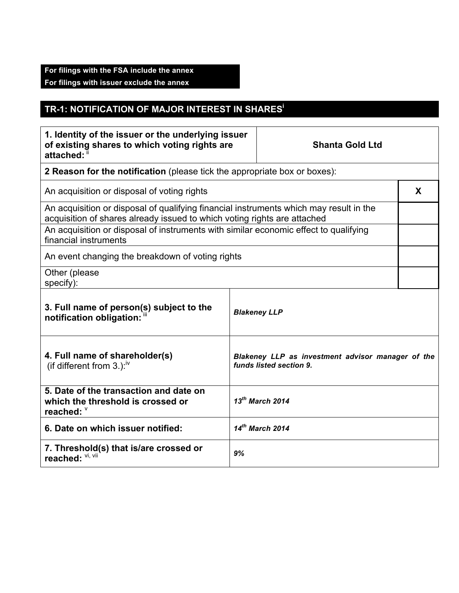## **For filings with the FSA include the annex For filings with issuer exclude the annex**

## **TR-1: NOTIFICATION OF MAJOR INTEREST IN SHARES<sup>i</sup>**

| 1. Identity of the issuer or the underlying issuer<br>of existing shares to which voting rights are<br>attached:                                                   |    | <b>Shanta Gold Ltd</b>                                                       |   |
|--------------------------------------------------------------------------------------------------------------------------------------------------------------------|----|------------------------------------------------------------------------------|---|
| 2 Reason for the notification (please tick the appropriate box or boxes):                                                                                          |    |                                                                              |   |
| An acquisition or disposal of voting rights                                                                                                                        |    |                                                                              | X |
| An acquisition or disposal of qualifying financial instruments which may result in the<br>acquisition of shares already issued to which voting rights are attached |    |                                                                              |   |
| An acquisition or disposal of instruments with similar economic effect to qualifying<br>financial instruments                                                      |    |                                                                              |   |
| An event changing the breakdown of voting rights                                                                                                                   |    |                                                                              |   |
| Other (please<br>specify):                                                                                                                                         |    |                                                                              |   |
| 3. Full name of person(s) subject to the<br>notification obligation: "                                                                                             |    | <b>Blakeney LLP</b>                                                          |   |
| 4. Full name of shareholder(s)<br>(if different from $3.$ ): <sup>iv</sup>                                                                                         |    | Blakeney LLP as investment advisor manager of the<br>funds listed section 9. |   |
| 5. Date of the transaction and date on<br>which the threshold is crossed or<br>reached: V                                                                          |    | $13^{th}$ March 2014                                                         |   |
| 6. Date on which issuer notified:                                                                                                                                  |    | $14^{th}$ March 2014                                                         |   |
| 7. Threshold(s) that is/are crossed or<br>reached: VI, VII                                                                                                         | 9% |                                                                              |   |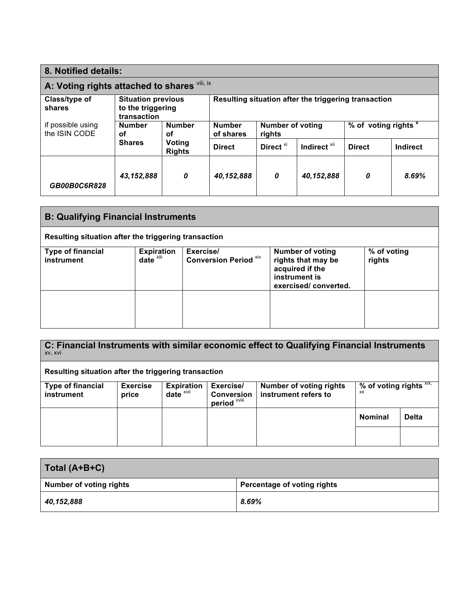| 8. Notified details:                         |                                                               |                         |                                                      |                                   |                         |                                 |          |
|----------------------------------------------|---------------------------------------------------------------|-------------------------|------------------------------------------------------|-----------------------------------|-------------------------|---------------------------------|----------|
| A: Voting rights attached to shares Vill, ix |                                                               |                         |                                                      |                                   |                         |                                 |          |
| Class/type of<br>shares                      | <b>Situation previous</b><br>to the triggering<br>transaction |                         | Resulting situation after the triggering transaction |                                   |                         |                                 |          |
| if possible using<br>the ISIN CODE           | <b>Number</b><br>οf                                           | <b>Number</b><br>οf     | <b>Number</b><br>of shares                           | <b>Number of voting</b><br>rights |                         | % of voting rights <sup>x</sup> |          |
|                                              | <b>Shares</b>                                                 | Voting<br><b>Rights</b> | <b>Direct</b>                                        | Direct <sup>xi</sup>              | Indirect <sup>xii</sup> | <b>Direct</b>                   | Indirect |
| GB00B0C6R828                                 | 43,152,888                                                    | 0                       | 40,152,888                                           | 0                                 | 40,152,888              | 0                               | 8.69%    |

| <b>B: Qualifying Financial Instruments</b>           |                                |                                           |                                                                                                           |                       |
|------------------------------------------------------|--------------------------------|-------------------------------------------|-----------------------------------------------------------------------------------------------------------|-----------------------|
| Resulting situation after the triggering transaction |                                |                                           |                                                                                                           |                       |
| <b>Type of financial</b><br>instrument               | <b>Expiration</b><br>date xiii | Exercise/<br><b>Conversion Period Xiv</b> | <b>Number of voting</b><br>rights that may be<br>acquired if the<br>instrument is<br>exercised/converted. | % of voting<br>rights |
|                                                      |                                |                                           |                                                                                                           |                       |

| XV, XVI                                              |                          |                                      |                                                | C: Financial Instruments with similar economic effect to Qualifying Financial Instruments |                               |              |
|------------------------------------------------------|--------------------------|--------------------------------------|------------------------------------------------|-------------------------------------------------------------------------------------------|-------------------------------|--------------|
| Resulting situation after the triggering transaction |                          |                                      |                                                |                                                                                           |                               |              |
| <b>Type of financial</b><br>instrument               | <b>Exercise</b><br>price | <b>Expiration</b><br>$date^{\times}$ | Exercise/<br><b>Conversion</b><br>period XVili | <b>Number of voting rights</b><br>instrument refers to                                    | % of voting rights XIX,<br>XX |              |
|                                                      |                          |                                      |                                                |                                                                                           | <b>Nominal</b>                | <b>Delta</b> |
|                                                      |                          |                                      |                                                |                                                                                           |                               |              |

| Total (A+B+C)                  |                             |
|--------------------------------|-----------------------------|
| <b>Number of voting rights</b> | Percentage of voting rights |
| 40,152,888                     | 8.69%                       |